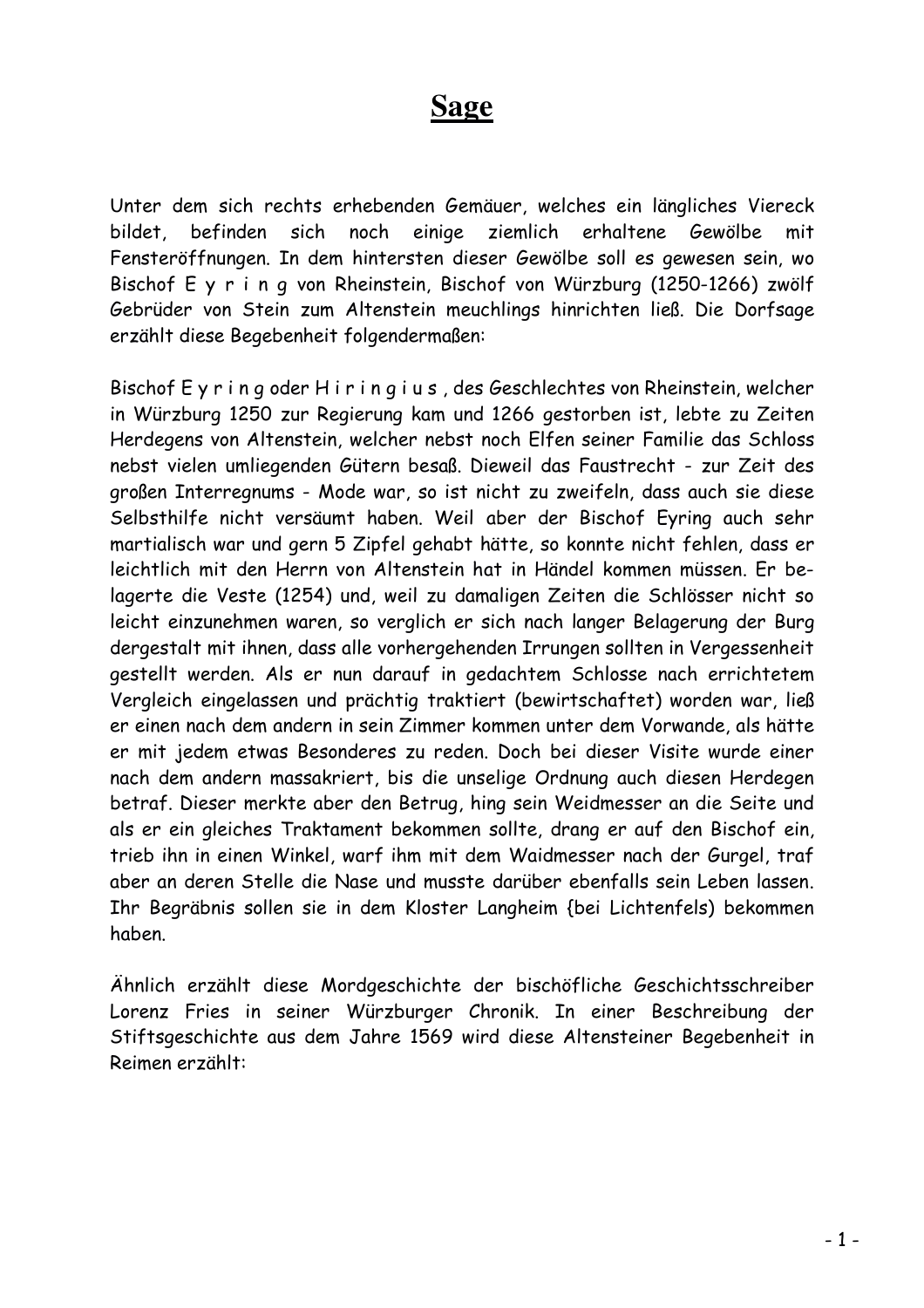## Sage

Unter dem sich rechts erhebenden Gemäuer, welches ein längliches Viereck bildet, befinden sich noch einige ziemlich erhaltene Gewölbe mit Fensteröffnungen. In dem hintersten dieser Gewölbe soll es gewesen sein, wo Bischof E y r i n q von Rheinstein, Bischof von Würzburg (1250-1266) zwölf Gebrüder von Stein zum Altenstein meuchlings hinrichten ließ. Die Dorfsage erzählt diese Begebenheit folgendermaßen:

Bischof Eyring oder Hiringius, des Geschlechtes von Rheinstein, welcher in Würzburg 1250 zur Regierung kam und 1266 gestorben ist, lebte zu Zeiten Herdegens von Altenstein, welcher nebst noch Elfen seiner Familie das Schloss nebst vielen umliegenden Gütern besaß. Dieweil das Faustrecht - zur Zeit des großen Interregnums - Mode war, so ist nicht zu zweifeln, dass auch sie diese Selbsthilfe nicht versäumt haben. Weil aber der Bischof Eyring auch sehr martialisch war und gern 5 Zipfel gehabt hätte, so konnte nicht fehlen, dass er leichtlich mit den Herrn von Altenstein hat in Händel kommen müssen. Er belagerte die Veste (1254) und, weil zu damaligen Zeiten die Schlösser nicht so leicht einzunehmen waren, so verglich er sich nach langer Belagerung der Burg dergestalt mit ihnen, dass alle vorhergehenden Irrungen sollten in Vergessenheit gestellt werden. Als er nun darauf in gedachtem Schlosse nach errichtetem Vergleich eingelassen und prächtig traktiert (bewirtschaftet) worden war, ließ er einen nach dem andern in sein Zimmer kommen unter dem Vorwande, als hätte er mit jedem etwas Besonderes zu reden. Doch bei dieser Visite wurde einer nach dem andern massakriert, bis die unselige Ordnung auch diesen Herdegen betraf. Dieser merkte aber den Betrug, hing sein Weidmesser an die Seite und als er ein gleiches Traktament bekommen sollte, drang er auf den Bischof ein, trieb ihn in einen Winkel, warf ihm mit dem Waidmesser nach der Gurgel, traf aber an deren Stelle die Nase und musste darüber ebenfalls sein Leben lassen. Ihr Begräbnis sollen sie in dem Kloster Langheim {bei Lichtenfels) bekommen haben

Ähnlich erzählt diese Mordgeschichte der bischöfliche Geschichtsschreiber Lorenz Fries in seiner Würzburger Chronik. In einer Beschreibung der Stiftsgeschichte aus dem Jahre 1569 wird diese Altensteiner Begebenheit in Reimen erzählt: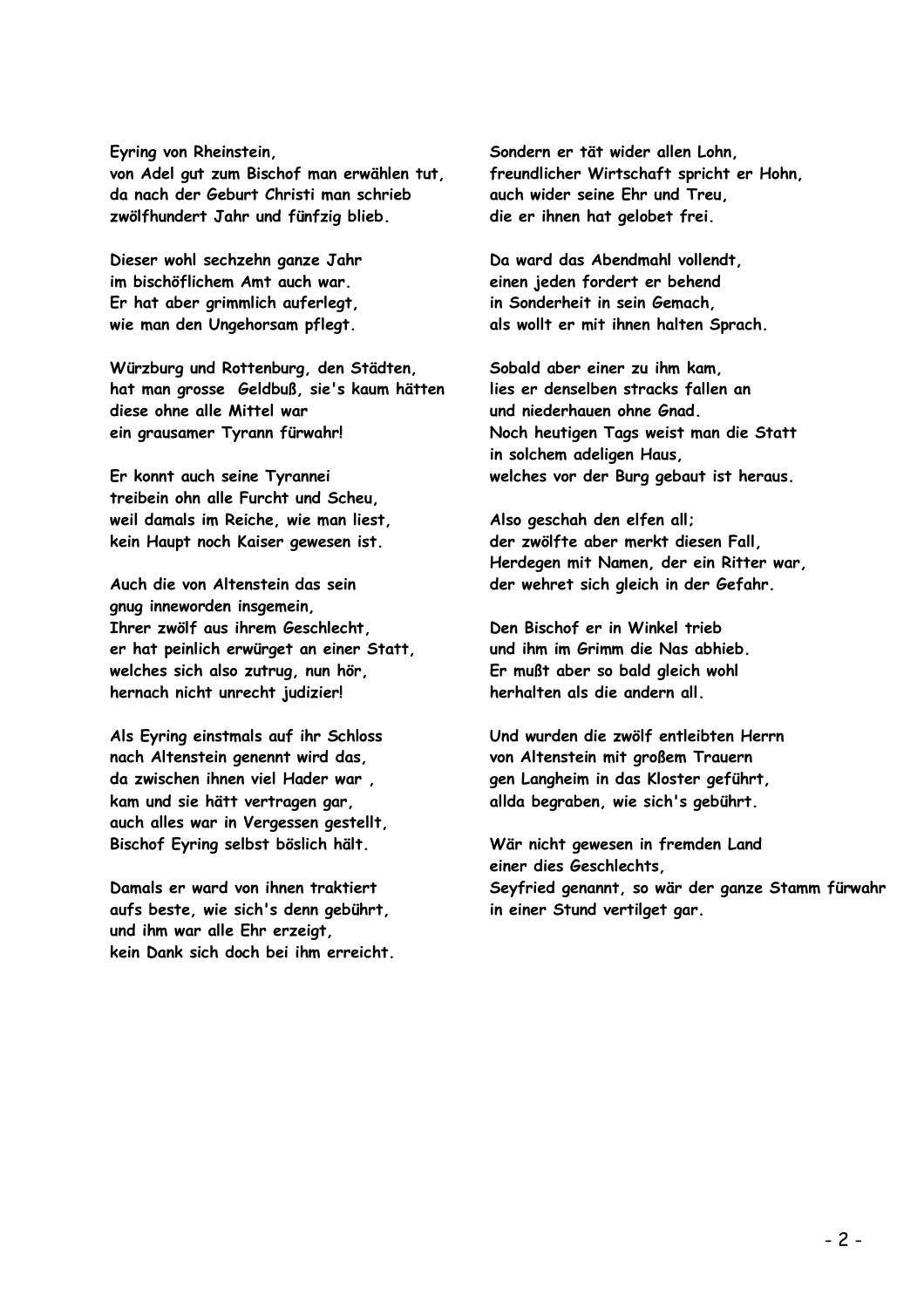## Eyring von Rheinstein.

von Adel gut zum Bischof man erwählen tut, da nach der Geburt Christi man schrieb zwölfhundert Jahr und fünfzig blieb.

Dieser wohl sechzehn ganze Jahr im bischöflichem Amt auch war. Er hat aber grimmlich auferlegt, wie man den Ungehorsam pflegt.

Würzburg und Rottenburg, den Städten, hat man grosse Geldbuß, sie's kaum hätten diese ohne alle Mittel war ein grausamer Tyrann fürwahr!

Er konnt auch seine Tyrannei treibein ohn alle Furcht und Scheu. weil damals im Reiche, wie man liest, kein Haupt noch Kaiser gewesen ist.

Auch die von Altenstein das sein gnug inneworden insgemein. Ihrer zwölf aus ihrem Geschlecht, er hat peinlich erwürget an einer Statt, welches sich also zutrug, nun hör, hernach nicht unrecht judizier!

Als Eyring einstmals auf ihr Schloss nach Altenstein genennt wird das. da zwischen ihnen viel Hader war kam und sie hätt vertragen gar, auch alles war in Vergessen gestellt, Bischof Eyring selbst böslich hält.

Damals er ward von ihnen traktiert aufs beste, wie sich's denn gebührt, und ihm war alle Ehr erzeigt, kein Dank sich doch bei ihm erreicht. Sondern er tät wider allen Lohn. freundlicher Wirtschaft spricht er Hohn. auch wider seine Ehr und Treu, die er ihnen hat gelobet frei.

Da ward das Abendmahl vollendt. einen ieden fordert er behend in Sonderheit in sein Gemach, als wollt er mit ihnen halten Sprach.

Sobald aber einer zu ihm kam. lies er denselben stracks fallen an und niederhauen ohne Gnad. Noch heutigen Tags weist man die Statt in solchem adeligen Haus, welches vor der Burg gebaut ist heraus.

Also geschah den elfen all: der zwölfte aber merkt diesen Fall. Herdegen mit Namen, der ein Ritter war, der wehret sich gleich in der Gefahr.

Den Bischof er in Winkel trieb und ihm im Grimm die Nas abhieb. Er mußt aber so bald gleich wohl herhalten als die andern all.

Und wurden die zwölf entleibten Herrn von Altenstein mit großem Trauern gen Langheim in das Kloster geführt. allda begraben, wie sich's gebührt.

Wär nicht gewesen in fremden Land einer dies Geschlechts. Seyfried genannt, so wär der ganze Stamm fürwahr in einer Stund vertilget gar.